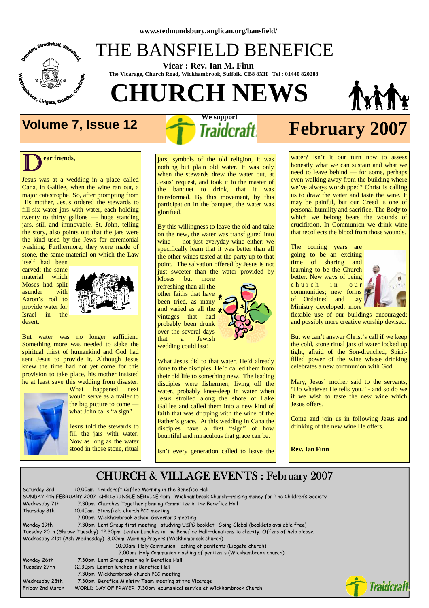

### THE BANSFIELD BENEFICE

 **Vicar : Rev. Ian M. Finn The Vicarage, Church Road, Wickhambrook, Suffolk. CB8 8XH Tel : 01440 820288**

**CHURCH NEWS** 





# **Volume 7, Issue 12** *Traidcraft* **February 2007**

#### $\overline{\mathbf{D}}^{\text{ea}}$ **ear friends,**

Jesus was at a wedding in a place called Cana, in Galilee, when the wine ran out, a major catastrophe! So, after prompting from His mother, Jesus ordered the stewards to fill six water jars with water, each holding twenty to thirty gallons — huge standing jars, still and immovable. St. John, telling the story, also points out that the jars were the kind used by the Jews for ceremonial washing. Furthermore, they were made of stone, the same material on which the Law

itself had been carved; the same material which Moses had split asunder with Aaron's rod to provide water for Israel in the desert.



But water was no longer sufficient. Something more was needed to slake the spiritual thirst of humankind and God had sent Jesus to provide it. Although Jesus knew the time had not yet come for this provision to take place, his mother insisted he at least save this wedding from disaster.



What happened next would serve as a trailer to the big picture to come what John calls "a sign".

Jesus told the stewards to fill the jars with water. Now as long as the water stood in those stone, ritual

jars, symbols of the old religion, it was nothing but plain old water. It was only when the stewards drew the water out, at Jesus' request, and took it to the master of the banquet to drink, that it was transformed. By this movement, by this participation in the banquet, the water was glorified.

By this willingness to leave the old and take on the new, the water was transfigured into wine — not just everyday wine either: we specifically learn that it was better than all the other wines tasted at the party up to that point. The salvation offered by Jesus is not just sweeter than the water provided by

Moses but more refreshing than all the other faiths that have been tried, as many and varied as all the  $*$ vintages that had probably been drunk over the several days that a Jewish wedding could last!



What Jesus did to that water, He'd already done to the disciples: He'd called them from their old life to something new. The leading disciples were fishermen; living off the water, probably knee-deep in water when Jesus strolled along the shore of Lake Galilee and called them into a new kind of faith that was dripping with the wine of the Father's grace. At this wedding in Cana the disciples have a first "sign" of how bountiful and miraculous that grace can be.

Isn't every generation called to leave the

water? Isn't it our turn now to assess honestly what we can sustain and what we need to leave behind — for some, perhaps even walking away from the building where we've always worshipped? Christ is calling us to draw the water and taste the wine. It may be painful, but our Creed is one of personal humility and sacrifice. The Body to which we belong bears the wounds of crucifixion. In Communion we drink wine that recollects the blood from those wounds.

The coming years are going to be an exciting time of sharing and learning to be the Church better. New ways of being church in our communities; new forms of Ordained and Lay Ministry developed; more



flexible use of our buildings encouraged; and possibly more creative worship devised.

But we can't answer Christ's call if we keep the cold, stone ritual jars of water locked up tight, afraid of the Son-drenched, Spiritfilled power of the wine whose drinking celebrates a new communion with God.

Mary, Jesus' mother said to the servants, "Do whatever He tells you." - and so do we if we wish to taste the new wine which Jesus offers.

Come and join us in following Jesus and drinking of the new wine He offers.

**Rev. Ian Finn** 

#### CHURCH & VILLAGE EVENTS : February 2007